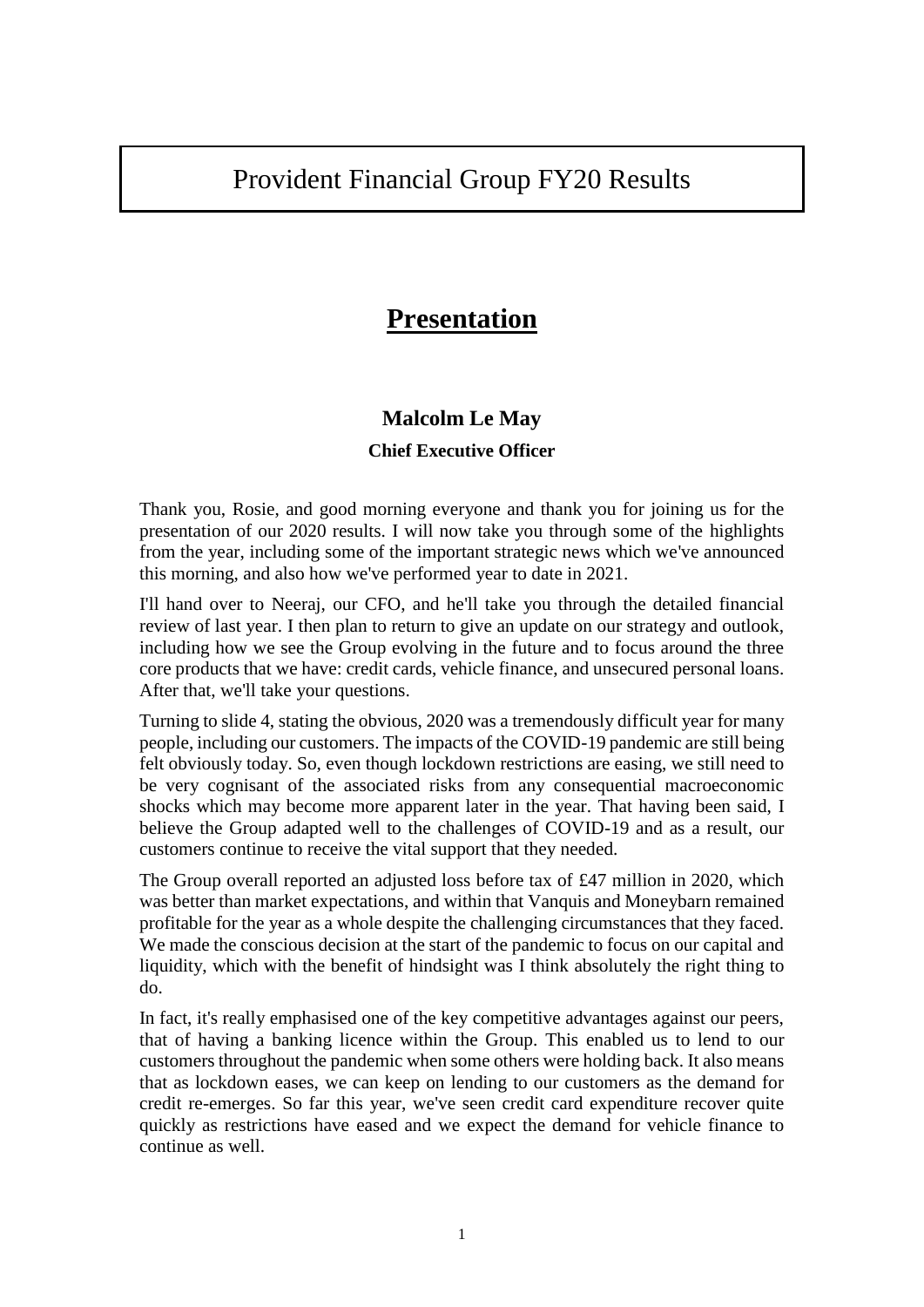# Provident Financial Group FY20 Results

## **Presentation**

## **Malcolm Le May**

## **Chief Executive Officer**

Thank you, Rosie, and good morning everyone and thank you for joining us for the presentation of our 2020 results. I will now take you through some of the highlights from the year, including some of the important strategic news which we've announced this morning, and also how we've performed year to date in 2021.

I'll hand over to Neeraj, our CFO, and he'll take you through the detailed financial review of last year. I then plan to return to give an update on our strategy and outlook, including how we see the Group evolving in the future and to focus around the three core products that we have: credit cards, vehicle finance, and unsecured personal loans. After that, we'll take your questions.

Turning to slide 4, stating the obvious, 2020 was a tremendously difficult year for many people, including our customers. The impacts of the COVID-19 pandemic are still being felt obviously today. So, even though lockdown restrictions are easing, we still need to be very cognisant of the associated risks from any consequential macroeconomic shocks which may become more apparent later in the year. That having been said, I believe the Group adapted well to the challenges of COVID-19 and as a result, our customers continue to receive the vital support that they needed.

The Group overall reported an adjusted loss before tax of £47 million in 2020, which was better than market expectations, and within that Vanquis and Moneybarn remained profitable for the year as a whole despite the challenging circumstances that they faced. We made the conscious decision at the start of the pandemic to focus on our capital and liquidity, which with the benefit of hindsight was I think absolutely the right thing to do.

In fact, it's really emphasised one of the key competitive advantages against our peers, that of having a banking licence within the Group. This enabled us to lend to our customers throughout the pandemic when some others were holding back. It also means that as lockdown eases, we can keep on lending to our customers as the demand for credit re-emerges. So far this year, we've seen credit card expenditure recover quite quickly as restrictions have eased and we expect the demand for vehicle finance to continue as well.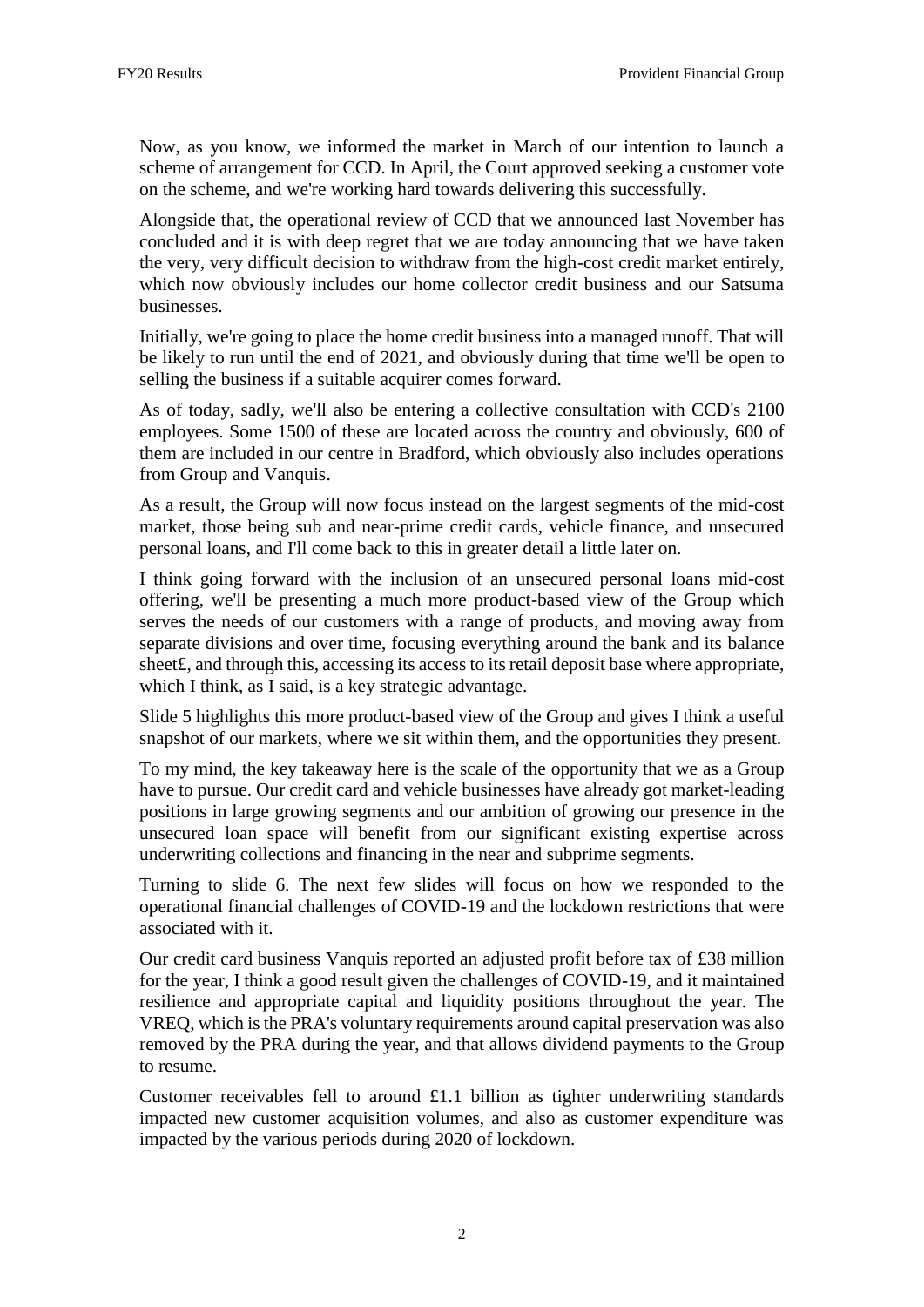Now, as you know, we informed the market in March of our intention to launch a scheme of arrangement for CCD. In April, the Court approved seeking a customer vote on the scheme, and we're working hard towards delivering this successfully.

Alongside that, the operational review of CCD that we announced last November has concluded and it is with deep regret that we are today announcing that we have taken the very, very difficult decision to withdraw from the high-cost credit market entirely, which now obviously includes our home collector credit business and our Satsuma businesses.

Initially, we're going to place the home credit business into a managed runoff. That will be likely to run until the end of 2021, and obviously during that time we'll be open to selling the business if a suitable acquirer comes forward.

As of today, sadly, we'll also be entering a collective consultation with CCD's 2100 employees. Some 1500 of these are located across the country and obviously, 600 of them are included in our centre in Bradford, which obviously also includes operations from Group and Vanquis.

As a result, the Group will now focus instead on the largest segments of the mid-cost market, those being sub and near-prime credit cards, vehicle finance, and unsecured personal loans, and I'll come back to this in greater detail a little later on.

I think going forward with the inclusion of an unsecured personal loans mid-cost offering, we'll be presenting a much more product-based view of the Group which serves the needs of our customers with a range of products, and moving away from separate divisions and over time, focusing everything around the bank and its balance sheet £, and through this, accessing its access to its retail deposit base where appropriate, which I think, as I said, is a key strategic advantage.

Slide 5 highlights this more product-based view of the Group and gives I think a useful snapshot of our markets, where we sit within them, and the opportunities they present.

To my mind, the key takeaway here is the scale of the opportunity that we as a Group have to pursue. Our credit card and vehicle businesses have already got market-leading positions in large growing segments and our ambition of growing our presence in the unsecured loan space will benefit from our significant existing expertise across underwriting collections and financing in the near and subprime segments.

Turning to slide 6. The next few slides will focus on how we responded to the operational financial challenges of COVID-19 and the lockdown restrictions that were associated with it.

Our credit card business Vanquis reported an adjusted profit before tax of £38 million for the year, I think a good result given the challenges of COVID-19, and it maintained resilience and appropriate capital and liquidity positions throughout the year. The VREQ, which is the PRA's voluntary requirements around capital preservation was also removed by the PRA during the year, and that allows dividend payments to the Group to resume.

Customer receivables fell to around £1.1 billion as tighter underwriting standards impacted new customer acquisition volumes, and also as customer expenditure was impacted by the various periods during 2020 of lockdown.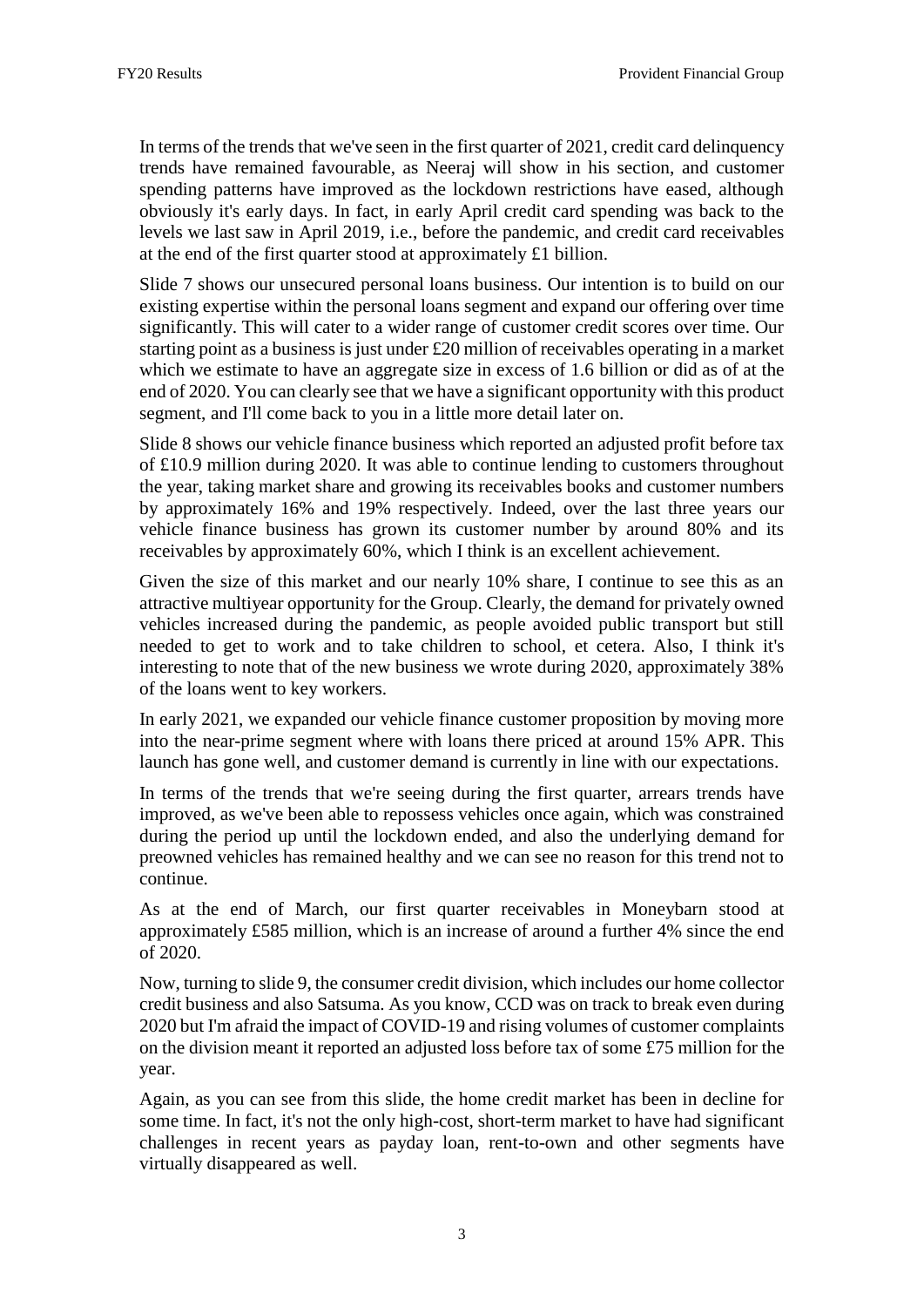In terms of the trends that we've seen in the first quarter of 2021, credit card delinquency trends have remained favourable, as Neeraj will show in his section, and customer spending patterns have improved as the lockdown restrictions have eased, although obviously it's early days. In fact, in early April credit card spending was back to the levels we last saw in April 2019, i.e., before the pandemic, and credit card receivables at the end of the first quarter stood at approximately £1 billion.

Slide 7 shows our unsecured personal loans business. Our intention is to build on our existing expertise within the personal loans segment and expand our offering over time significantly. This will cater to a wider range of customer credit scores over time. Our starting point as a business is just under £20 million of receivables operating in a market which we estimate to have an aggregate size in excess of 1.6 billion or did as of at the end of 2020. You can clearly see that we have a significant opportunity with this product segment, and I'll come back to you in a little more detail later on.

Slide 8 shows our vehicle finance business which reported an adjusted profit before tax of £10.9 million during 2020. It was able to continue lending to customers throughout the year, taking market share and growing its receivables books and customer numbers by approximately 16% and 19% respectively. Indeed, over the last three years our vehicle finance business has grown its customer number by around 80% and its receivables by approximately 60%, which I think is an excellent achievement.

Given the size of this market and our nearly 10% share, I continue to see this as an attractive multiyear opportunity for the Group. Clearly, the demand for privately owned vehicles increased during the pandemic, as people avoided public transport but still needed to get to work and to take children to school, et cetera. Also, I think it's interesting to note that of the new business we wrote during 2020, approximately 38% of the loans went to key workers.

In early 2021, we expanded our vehicle finance customer proposition by moving more into the near-prime segment where with loans there priced at around 15% APR. This launch has gone well, and customer demand is currently in line with our expectations.

In terms of the trends that we're seeing during the first quarter, arrears trends have improved, as we've been able to repossess vehicles once again, which was constrained during the period up until the lockdown ended, and also the underlying demand for preowned vehicles has remained healthy and we can see no reason for this trend not to continue.

As at the end of March, our first quarter receivables in Moneybarn stood at approximately £585 million, which is an increase of around a further 4% since the end of 2020.

Now, turning to slide 9, the consumer credit division, which includes our home collector credit business and also Satsuma. As you know, CCD was on track to break even during 2020 but I'm afraid the impact of COVID-19 and rising volumes of customer complaints on the division meant it reported an adjusted loss before tax of some £75 million for the year.

Again, as you can see from this slide, the home credit market has been in decline for some time. In fact, it's not the only high-cost, short-term market to have had significant challenges in recent years as payday loan, rent-to-own and other segments have virtually disappeared as well.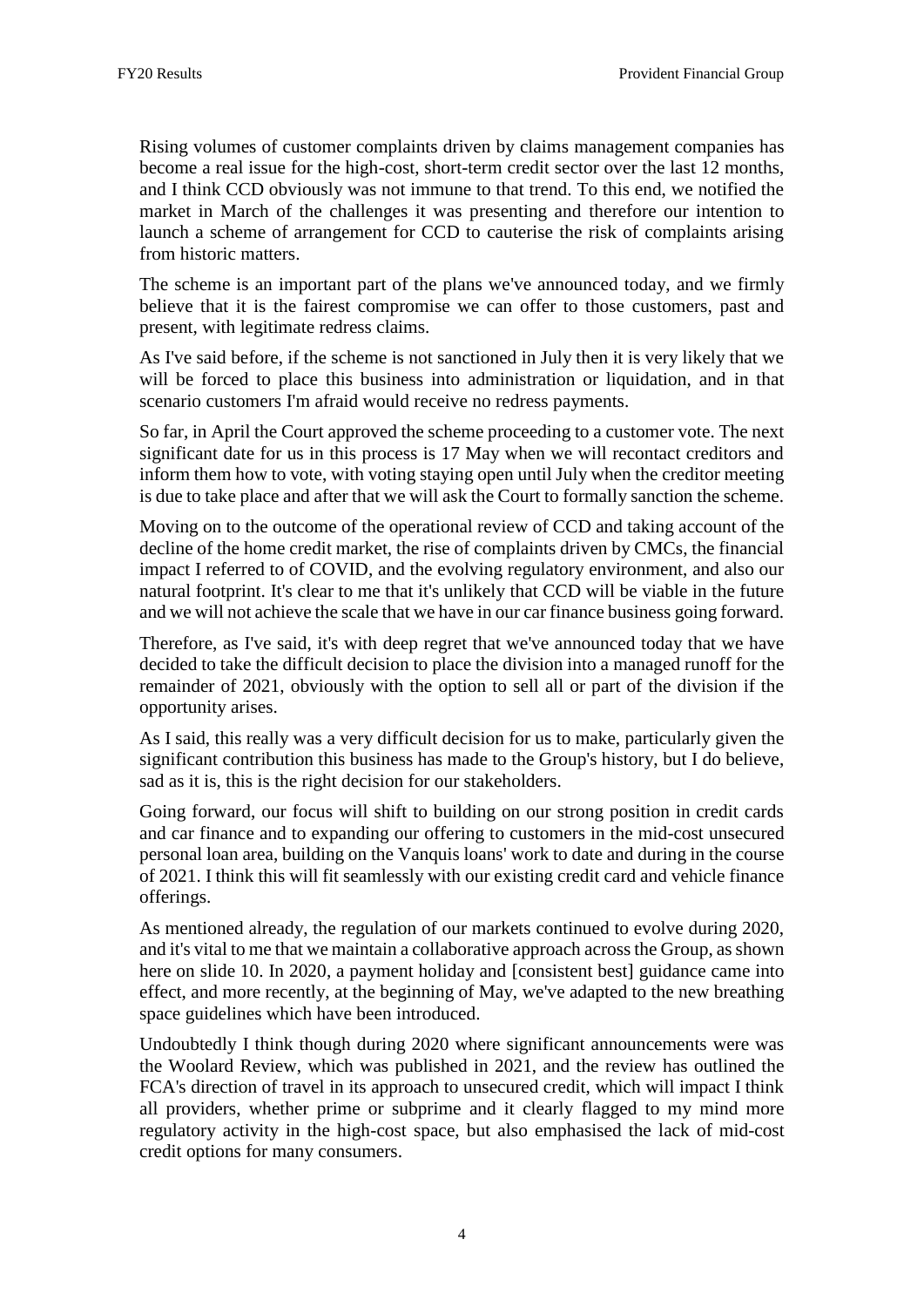Rising volumes of customer complaints driven by claims management companies has become a real issue for the high-cost, short-term credit sector over the last 12 months, and I think CCD obviously was not immune to that trend. To this end, we notified the market in March of the challenges it was presenting and therefore our intention to launch a scheme of arrangement for CCD to cauterise the risk of complaints arising from historic matters.

The scheme is an important part of the plans we've announced today, and we firmly believe that it is the fairest compromise we can offer to those customers, past and present, with legitimate redress claims.

As I've said before, if the scheme is not sanctioned in July then it is very likely that we will be forced to place this business into administration or liquidation, and in that scenario customers I'm afraid would receive no redress payments.

So far, in April the Court approved the scheme proceeding to a customer vote. The next significant date for us in this process is 17 May when we will recontact creditors and inform them how to vote, with voting staying open until July when the creditor meeting is due to take place and after that we will ask the Court to formally sanction the scheme.

Moving on to the outcome of the operational review of CCD and taking account of the decline of the home credit market, the rise of complaints driven by CMCs, the financial impact I referred to of COVID, and the evolving regulatory environment, and also our natural footprint. It's clear to me that it's unlikely that CCD will be viable in the future and we will not achieve the scale that we have in our car finance business going forward.

Therefore, as I've said, it's with deep regret that we've announced today that we have decided to take the difficult decision to place the division into a managed runoff for the remainder of 2021, obviously with the option to sell all or part of the division if the opportunity arises.

As I said, this really was a very difficult decision for us to make, particularly given the significant contribution this business has made to the Group's history, but I do believe, sad as it is, this is the right decision for our stakeholders.

Going forward, our focus will shift to building on our strong position in credit cards and car finance and to expanding our offering to customers in the mid-cost unsecured personal loan area, building on the Vanquis loans' work to date and during in the course of 2021. I think this will fit seamlessly with our existing credit card and vehicle finance offerings.

As mentioned already, the regulation of our markets continued to evolve during 2020, and it's vital to me that we maintain a collaborative approach across the Group, as shown here on slide 10. In 2020, a payment holiday and [consistent best] guidance came into effect, and more recently, at the beginning of May, we've adapted to the new breathing space guidelines which have been introduced.

Undoubtedly I think though during 2020 where significant announcements were was the Woolard Review, which was published in 2021, and the review has outlined the FCA's direction of travel in its approach to unsecured credit, which will impact I think all providers, whether prime or subprime and it clearly flagged to my mind more regulatory activity in the high-cost space, but also emphasised the lack of mid-cost credit options for many consumers.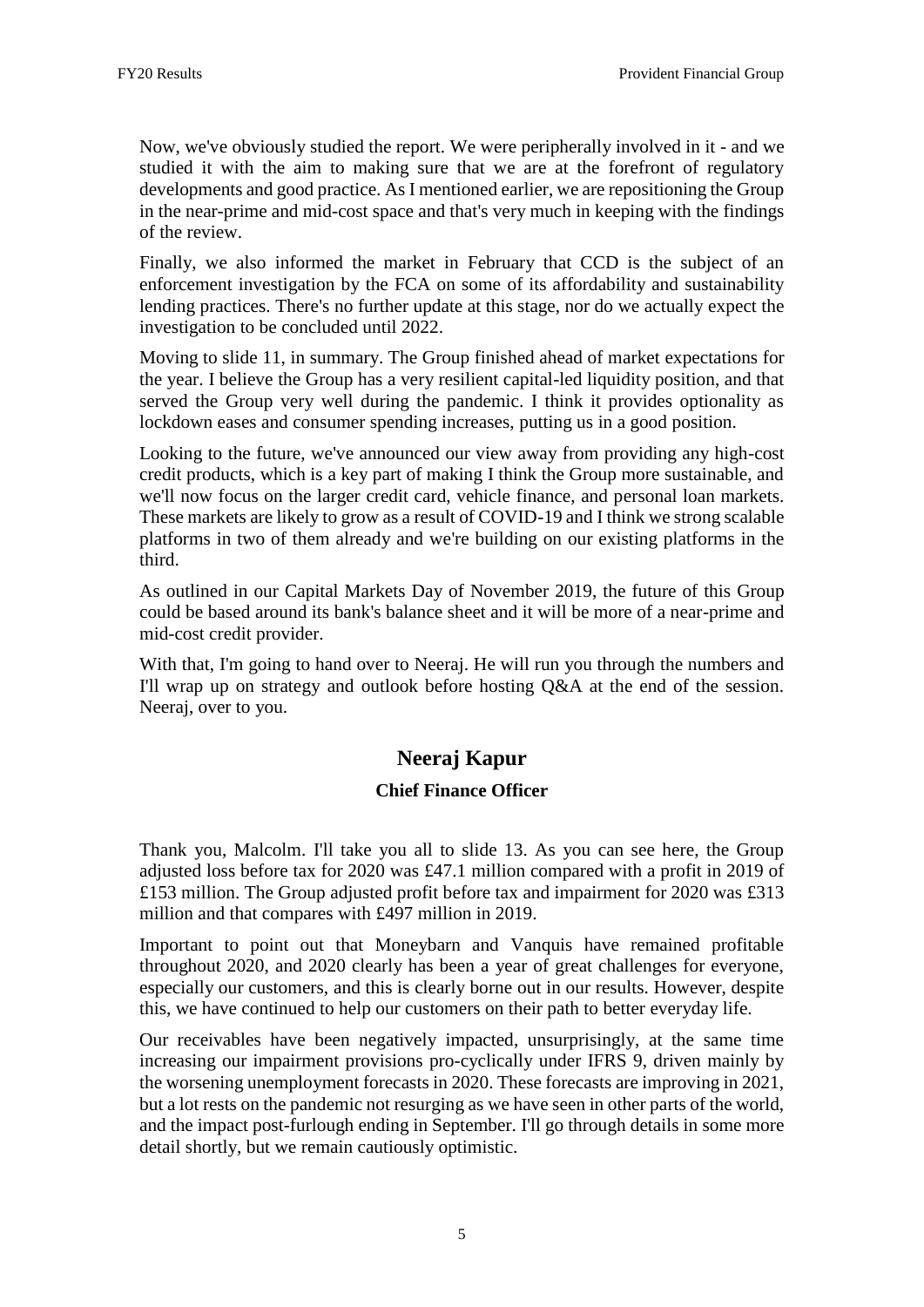Now, we've obviously studied the report. We were peripherally involved in it - and we studied it with the aim to making sure that we are at the forefront of regulatory developments and good practice. As I mentioned earlier, we are repositioning the Group in the near-prime and mid-cost space and that's very much in keeping with the findings of the review.

Finally, we also informed the market in February that CCD is the subject of an enforcement investigation by the FCA on some of its affordability and sustainability lending practices. There's no further update at this stage, nor do we actually expect the investigation to be concluded until 2022.

Moving to slide 11, in summary. The Group finished ahead of market expectations for the year. I believe the Group has a very resilient capital-led liquidity position, and that served the Group very well during the pandemic. I think it provides optionality as lockdown eases and consumer spending increases, putting us in a good position.

Looking to the future, we've announced our view away from providing any high-cost credit products, which is a key part of making I think the Group more sustainable, and we'll now focus on the larger credit card, vehicle finance, and personal loan markets. These markets are likely to grow as a result of COVID-19 and I think we strong scalable platforms in two of them already and we're building on our existing platforms in the third.

As outlined in our Capital Markets Day of November 2019, the future of this Group could be based around its bank's balance sheet and it will be more of a near-prime and mid-cost credit provider.

With that, I'm going to hand over to Neeraj. He will run you through the numbers and I'll wrap up on strategy and outlook before hosting Q&A at the end of the session. Neeraj, over to you.

## **Neeraj Kapur**

#### **Chief Finance Officer**

Thank you, Malcolm. I'll take you all to slide 13. As you can see here, the Group adjusted loss before tax for 2020 was £47.1 million compared with a profit in 2019 of £153 million. The Group adjusted profit before tax and impairment for 2020 was £313 million and that compares with £497 million in 2019.

Important to point out that Moneybarn and Vanquis have remained profitable throughout 2020, and 2020 clearly has been a year of great challenges for everyone, especially our customers, and this is clearly borne out in our results. However, despite this, we have continued to help our customers on their path to better everyday life.

Our receivables have been negatively impacted, unsurprisingly, at the same time increasing our impairment provisions pro-cyclically under IFRS 9, driven mainly by the worsening unemployment forecasts in 2020. These forecasts are improving in 2021, but a lot rests on the pandemic not resurging as we have seen in other parts of the world, and the impact post-furlough ending in September. I'll go through details in some more detail shortly, but we remain cautiously optimistic.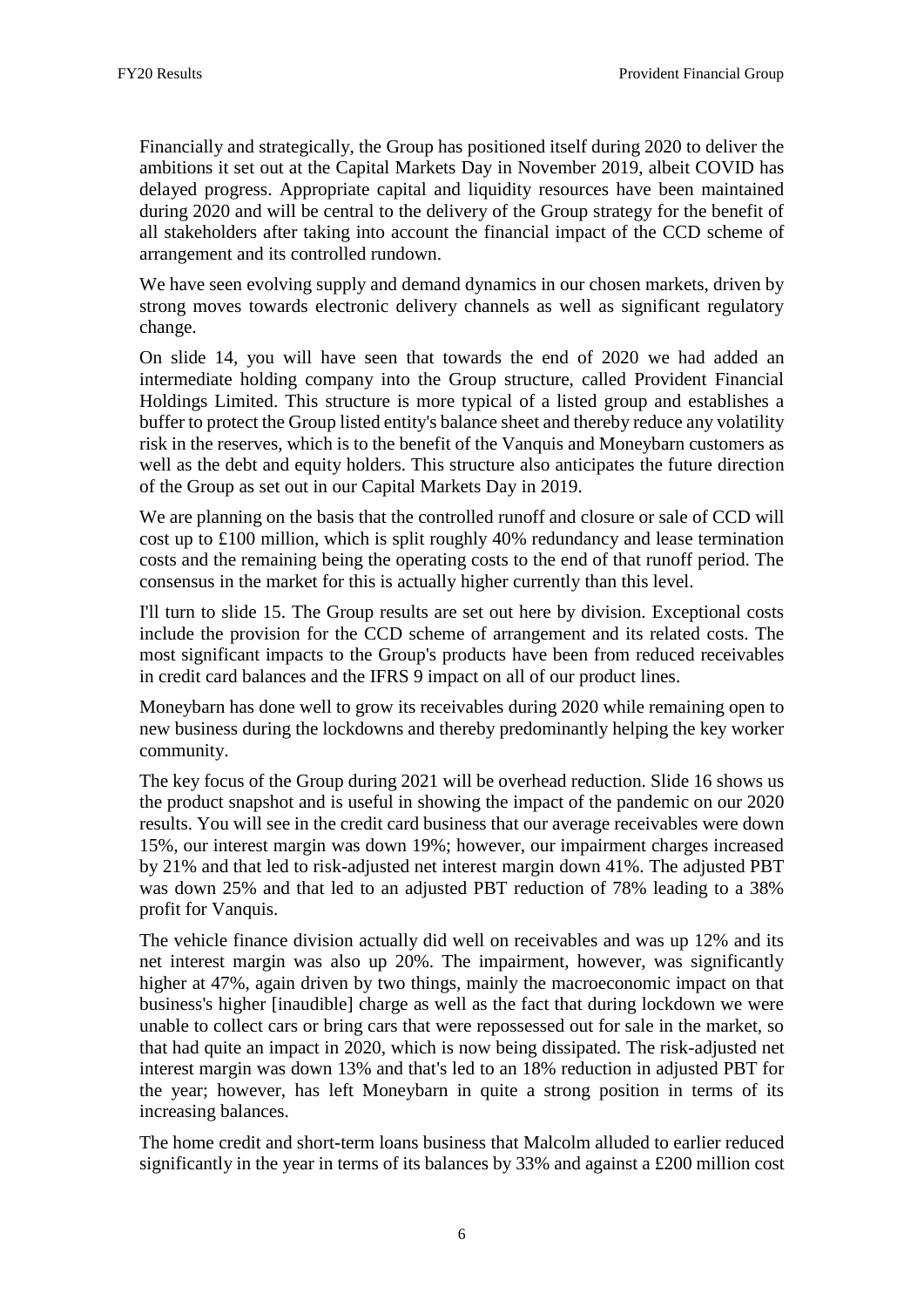Financially and strategically, the Group has positioned itself during 2020 to deliver the ambitions it set out at the Capital Markets Day in November 2019, albeit COVID has delayed progress. Appropriate capital and liquidity resources have been maintained during 2020 and will be central to the delivery of the Group strategy for the benefit of all stakeholders after taking into account the financial impact of the CCD scheme of arrangement and its controlled rundown.

We have seen evolving supply and demand dynamics in our chosen markets, driven by strong moves towards electronic delivery channels as well as significant regulatory change.

On slide 14, you will have seen that towards the end of 2020 we had added an intermediate holding company into the Group structure, called Provident Financial Holdings Limited. This structure is more typical of a listed group and establishes a buffer to protect the Group listed entity's balance sheet and thereby reduce any volatility risk in the reserves, which is to the benefit of the Vanquis and Moneybarn customers as well as the debt and equity holders. This structure also anticipates the future direction of the Group as set out in our Capital Markets Day in 2019.

We are planning on the basis that the controlled runoff and closure or sale of CCD will cost up to £100 million, which is split roughly 40% redundancy and lease termination costs and the remaining being the operating costs to the end of that runoff period. The consensus in the market for this is actually higher currently than this level.

I'll turn to slide 15. The Group results are set out here by division. Exceptional costs include the provision for the CCD scheme of arrangement and its related costs. The most significant impacts to the Group's products have been from reduced receivables in credit card balances and the IFRS 9 impact on all of our product lines.

Moneybarn has done well to grow its receivables during 2020 while remaining open to new business during the lockdowns and thereby predominantly helping the key worker community.

The key focus of the Group during 2021 will be overhead reduction. Slide 16 shows us the product snapshot and is useful in showing the impact of the pandemic on our 2020 results. You will see in the credit card business that our average receivables were down 15%, our interest margin was down 19%; however, our impairment charges increased by 21% and that led to risk-adjusted net interest margin down 41%. The adjusted PBT was down 25% and that led to an adjusted PBT reduction of 78% leading to a 38% profit for Vanquis.

The vehicle finance division actually did well on receivables and was up 12% and its net interest margin was also up 20%. The impairment, however, was significantly higher at 47%, again driven by two things, mainly the macroeconomic impact on that business's higher [inaudible] charge as well as the fact that during lockdown we were unable to collect cars or bring cars that were repossessed out for sale in the market, so that had quite an impact in 2020, which is now being dissipated. The risk-adjusted net interest margin was down 13% and that's led to an 18% reduction in adjusted PBT for the year; however, has left Moneybarn in quite a strong position in terms of its increasing balances.

The home credit and short-term loans business that Malcolm alluded to earlier reduced significantly in the year in terms of its balances by 33% and against a £200 million cost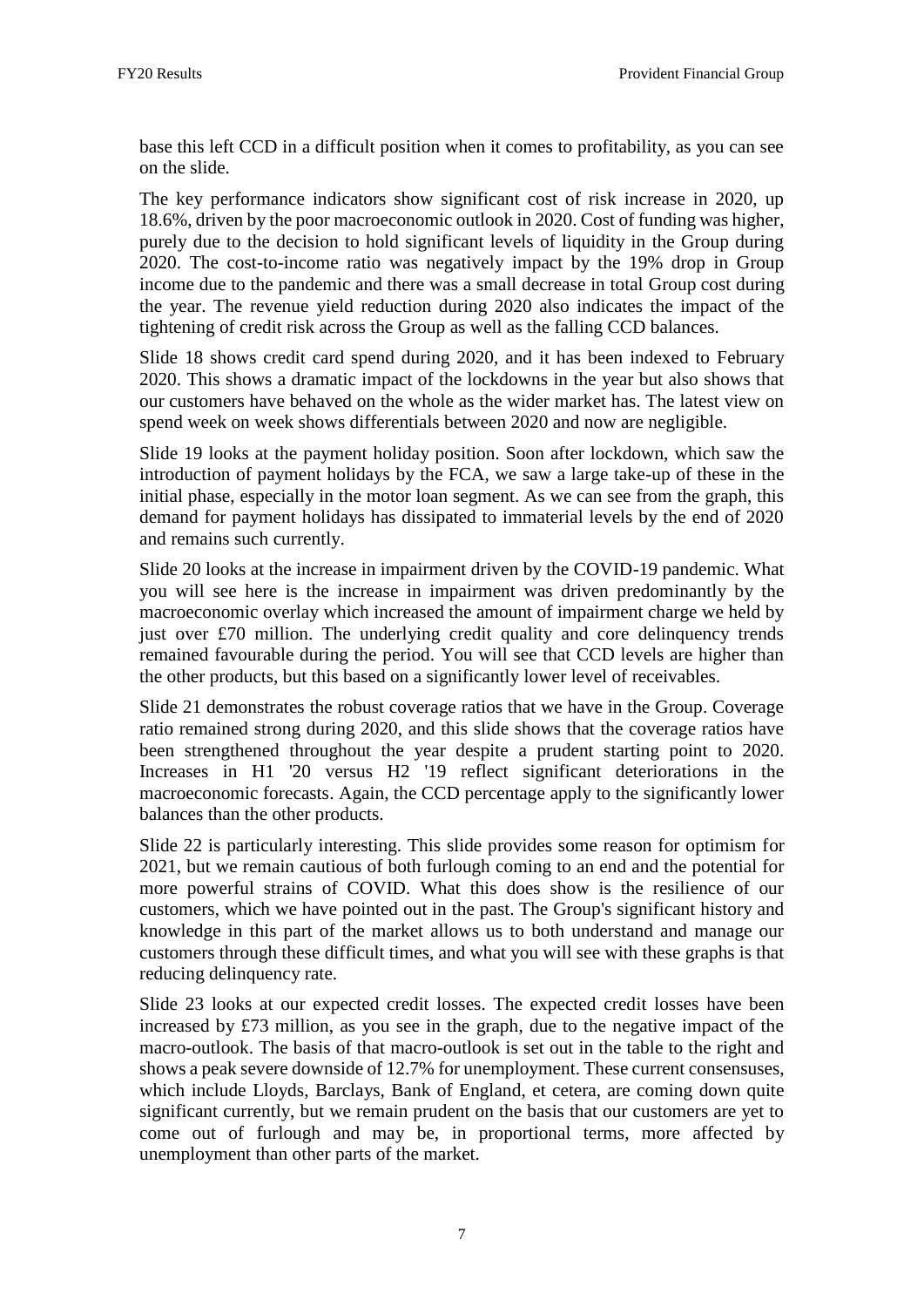base this left CCD in a difficult position when it comes to profitability, as you can see on the slide.

The key performance indicators show significant cost of risk increase in 2020, up 18.6%, driven by the poor macroeconomic outlook in 2020. Cost of funding was higher, purely due to the decision to hold significant levels of liquidity in the Group during 2020. The cost-to-income ratio was negatively impact by the 19% drop in Group income due to the pandemic and there was a small decrease in total Group cost during the year. The revenue yield reduction during 2020 also indicates the impact of the tightening of credit risk across the Group as well as the falling CCD balances.

Slide 18 shows credit card spend during 2020, and it has been indexed to February 2020. This shows a dramatic impact of the lockdowns in the year but also shows that our customers have behaved on the whole as the wider market has. The latest view on spend week on week shows differentials between 2020 and now are negligible.

Slide 19 looks at the payment holiday position. Soon after lockdown, which saw the introduction of payment holidays by the FCA, we saw a large take-up of these in the initial phase, especially in the motor loan segment. As we can see from the graph, this demand for payment holidays has dissipated to immaterial levels by the end of 2020 and remains such currently.

Slide 20 looks at the increase in impairment driven by the COVID-19 pandemic. What you will see here is the increase in impairment was driven predominantly by the macroeconomic overlay which increased the amount of impairment charge we held by just over £70 million. The underlying credit quality and core delinquency trends remained favourable during the period. You will see that CCD levels are higher than the other products, but this based on a significantly lower level of receivables.

Slide 21 demonstrates the robust coverage ratios that we have in the Group. Coverage ratio remained strong during 2020, and this slide shows that the coverage ratios have been strengthened throughout the year despite a prudent starting point to 2020. Increases in H1 '20 versus H2 '19 reflect significant deteriorations in the macroeconomic forecasts. Again, the CCD percentage apply to the significantly lower balances than the other products.

Slide 22 is particularly interesting. This slide provides some reason for optimism for 2021, but we remain cautious of both furlough coming to an end and the potential for more powerful strains of COVID. What this does show is the resilience of our customers, which we have pointed out in the past. The Group's significant history and knowledge in this part of the market allows us to both understand and manage our customers through these difficult times, and what you will see with these graphs is that reducing delinquency rate.

Slide 23 looks at our expected credit losses. The expected credit losses have been increased by £73 million, as you see in the graph, due to the negative impact of the macro-outlook. The basis of that macro-outlook is set out in the table to the right and shows a peak severe downside of 12.7% for unemployment. These current consensuses, which include Lloyds, Barclays, Bank of England, et cetera, are coming down quite significant currently, but we remain prudent on the basis that our customers are yet to come out of furlough and may be, in proportional terms, more affected by unemployment than other parts of the market.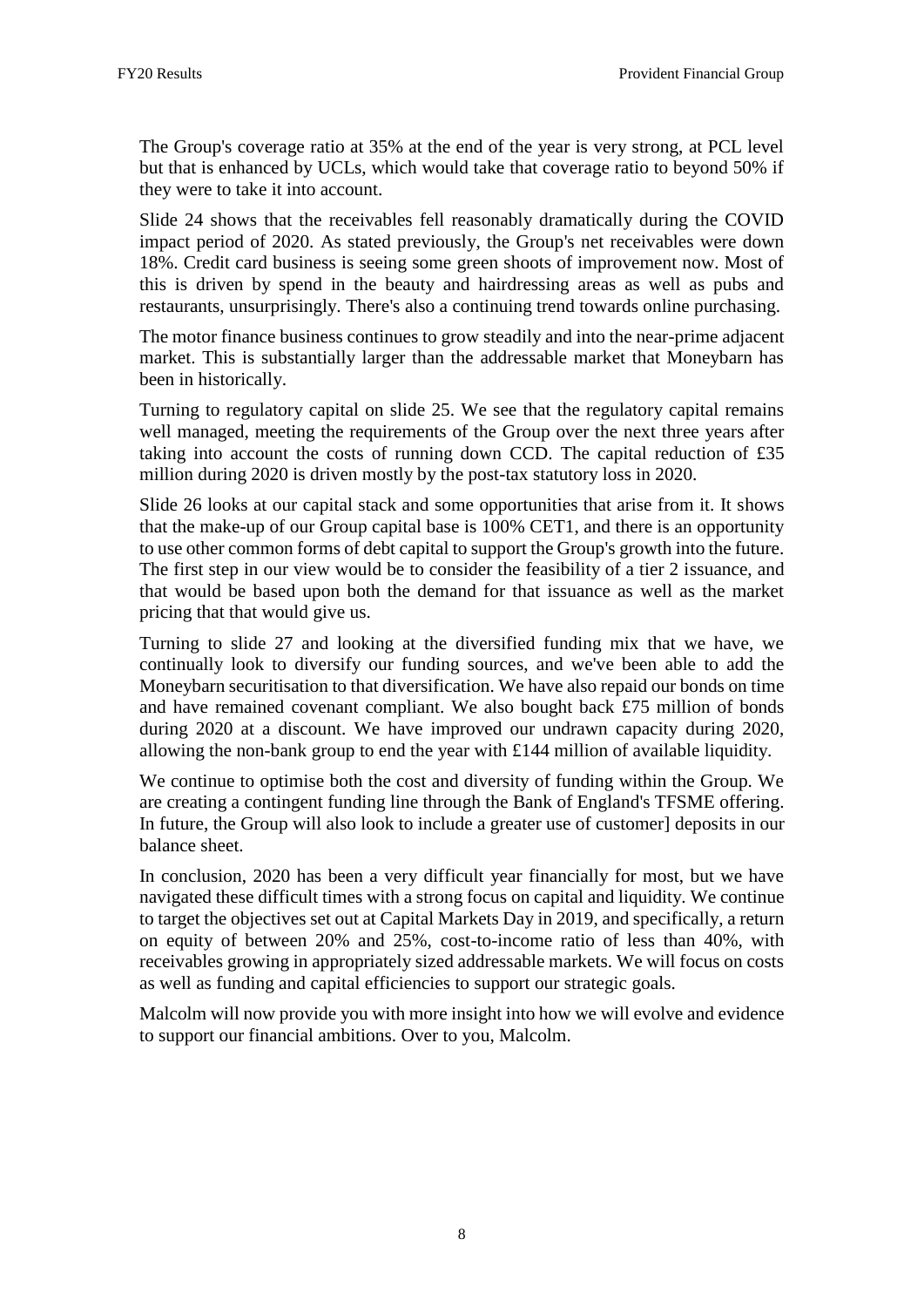The Group's coverage ratio at 35% at the end of the year is very strong, at PCL level but that is enhanced by UCLs, which would take that coverage ratio to beyond 50% if they were to take it into account.

Slide 24 shows that the receivables fell reasonably dramatically during the COVID impact period of 2020. As stated previously, the Group's net receivables were down 18%. Credit card business is seeing some green shoots of improvement now. Most of this is driven by spend in the beauty and hairdressing areas as well as pubs and restaurants, unsurprisingly. There's also a continuing trend towards online purchasing.

The motor finance business continues to grow steadily and into the near-prime adjacent market. This is substantially larger than the addressable market that Moneybarn has been in historically.

Turning to regulatory capital on slide 25. We see that the regulatory capital remains well managed, meeting the requirements of the Group over the next three years after taking into account the costs of running down CCD. The capital reduction of £35 million during 2020 is driven mostly by the post-tax statutory loss in 2020.

Slide 26 looks at our capital stack and some opportunities that arise from it. It shows that the make-up of our Group capital base is 100% CET1, and there is an opportunity to use other common forms of debt capital to support the Group's growth into the future. The first step in our view would be to consider the feasibility of a tier 2 issuance, and that would be based upon both the demand for that issuance as well as the market pricing that that would give us.

Turning to slide 27 and looking at the diversified funding mix that we have, we continually look to diversify our funding sources, and we've been able to add the Moneybarn securitisation to that diversification. We have also repaid our bonds on time and have remained covenant compliant. We also bought back £75 million of bonds during 2020 at a discount. We have improved our undrawn capacity during 2020, allowing the non-bank group to end the year with £144 million of available liquidity.

We continue to optimise both the cost and diversity of funding within the Group. We are creating a contingent funding line through the Bank of England's TFSME offering. In future, the Group will also look to include a greater use of customer] deposits in our balance sheet.

In conclusion, 2020 has been a very difficult year financially for most, but we have navigated these difficult times with a strong focus on capital and liquidity. We continue to target the objectives set out at Capital Markets Day in 2019, and specifically, a return on equity of between 20% and 25%, cost-to-income ratio of less than 40%, with receivables growing in appropriately sized addressable markets. We will focus on costs as well as funding and capital efficiencies to support our strategic goals.

Malcolm will now provide you with more insight into how we will evolve and evidence to support our financial ambitions. Over to you, Malcolm.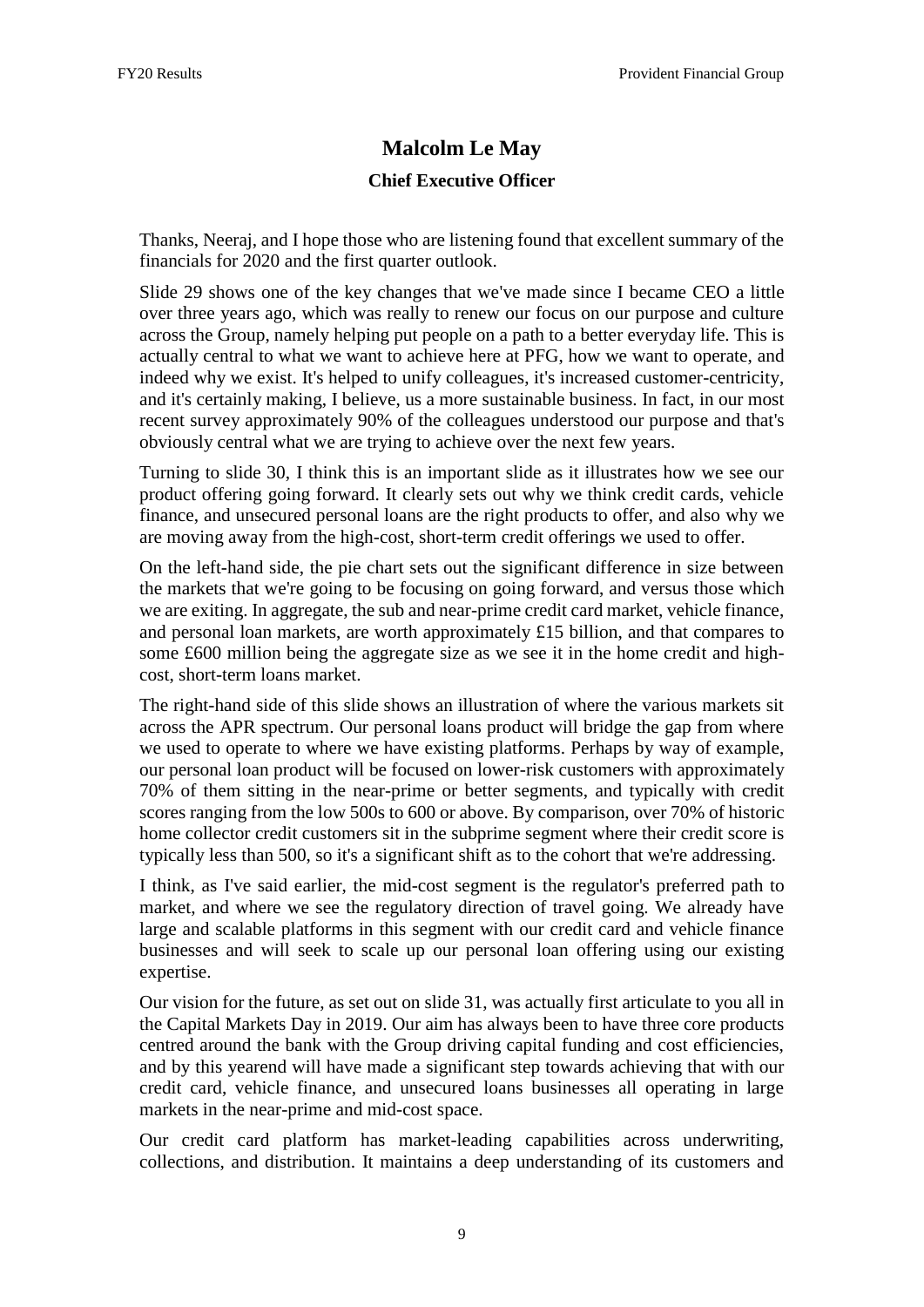## **Malcolm Le May Chief Executive Officer**

Thanks, Neeraj, and I hope those who are listening found that excellent summary of the financials for 2020 and the first quarter outlook.

Slide 29 shows one of the key changes that we've made since I became CEO a little over three years ago, which was really to renew our focus on our purpose and culture across the Group, namely helping put people on a path to a better everyday life. This is actually central to what we want to achieve here at PFG, how we want to operate, and indeed why we exist. It's helped to unify colleagues, it's increased customer-centricity, and it's certainly making, I believe, us a more sustainable business. In fact, in our most recent survey approximately 90% of the colleagues understood our purpose and that's obviously central what we are trying to achieve over the next few years.

Turning to slide 30, I think this is an important slide as it illustrates how we see our product offering going forward. It clearly sets out why we think credit cards, vehicle finance, and unsecured personal loans are the right products to offer, and also why we are moving away from the high-cost, short-term credit offerings we used to offer.

On the left-hand side, the pie chart sets out the significant difference in size between the markets that we're going to be focusing on going forward, and versus those which we are exiting. In aggregate, the sub and near-prime credit card market, vehicle finance, and personal loan markets, are worth approximately £15 billion, and that compares to some £600 million being the aggregate size as we see it in the home credit and highcost, short-term loans market.

The right-hand side of this slide shows an illustration of where the various markets sit across the APR spectrum. Our personal loans product will bridge the gap from where we used to operate to where we have existing platforms. Perhaps by way of example, our personal loan product will be focused on lower-risk customers with approximately 70% of them sitting in the near-prime or better segments, and typically with credit scores ranging from the low 500s to 600 or above. By comparison, over 70% of historic home collector credit customers sit in the subprime segment where their credit score is typically less than 500, so it's a significant shift as to the cohort that we're addressing.

I think, as I've said earlier, the mid-cost segment is the regulator's preferred path to market, and where we see the regulatory direction of travel going. We already have large and scalable platforms in this segment with our credit card and vehicle finance businesses and will seek to scale up our personal loan offering using our existing expertise.

Our vision for the future, as set out on slide 31, was actually first articulate to you all in the Capital Markets Day in 2019. Our aim has always been to have three core products centred around the bank with the Group driving capital funding and cost efficiencies, and by this yearend will have made a significant step towards achieving that with our credit card, vehicle finance, and unsecured loans businesses all operating in large markets in the near-prime and mid-cost space.

Our credit card platform has market-leading capabilities across underwriting, collections, and distribution. It maintains a deep understanding of its customers and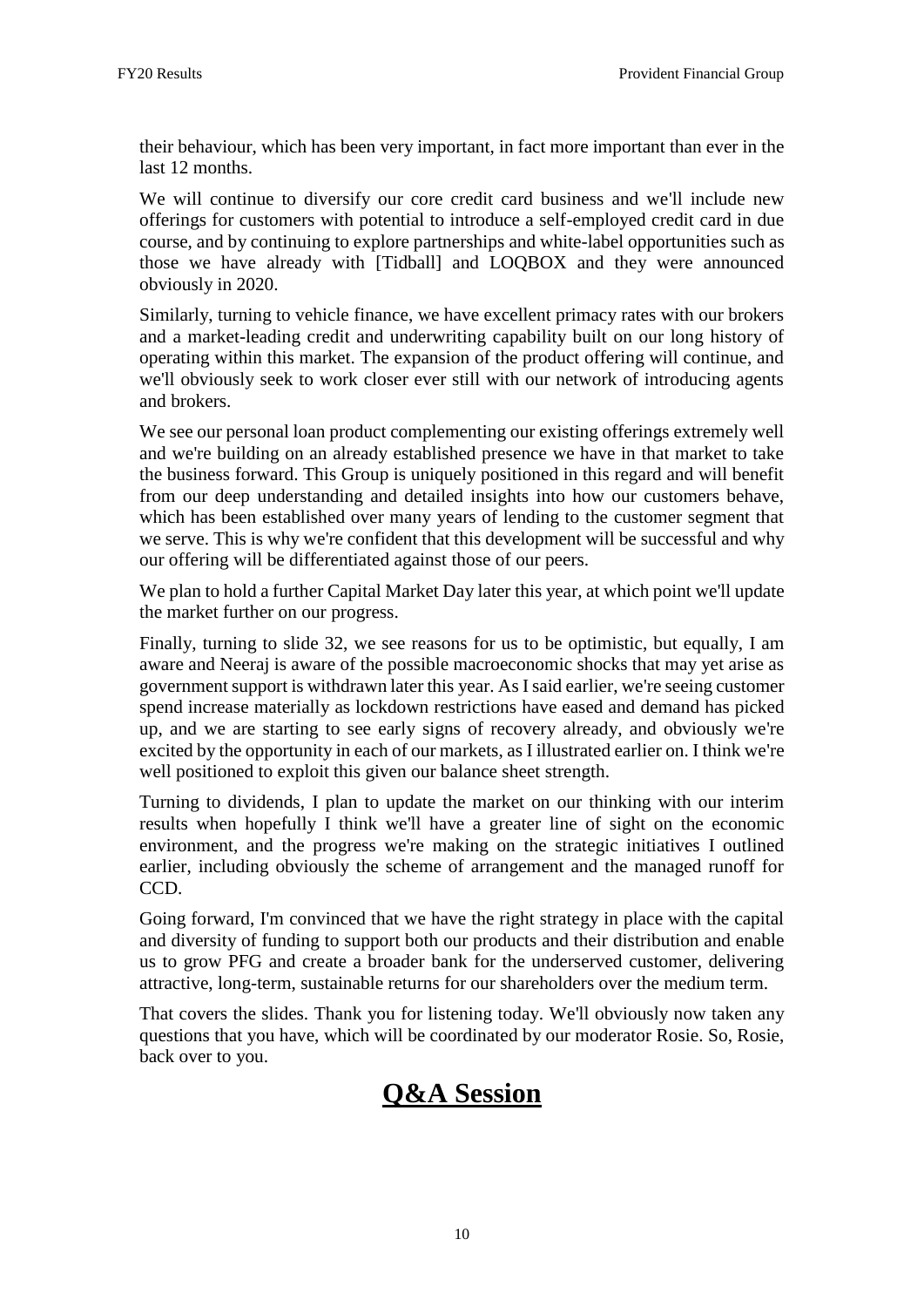their behaviour, which has been very important, in fact more important than ever in the last 12 months.

We will continue to diversify our core credit card business and we'll include new offerings for customers with potential to introduce a self-employed credit card in due course, and by continuing to explore partnerships and white-label opportunities such as those we have already with [Tidball] and LOQBOX and they were announced obviously in 2020.

Similarly, turning to vehicle finance, we have excellent primacy rates with our brokers and a market-leading credit and underwriting capability built on our long history of operating within this market. The expansion of the product offering will continue, and we'll obviously seek to work closer ever still with our network of introducing agents and brokers.

We see our personal loan product complementing our existing offerings extremely well and we're building on an already established presence we have in that market to take the business forward. This Group is uniquely positioned in this regard and will benefit from our deep understanding and detailed insights into how our customers behave, which has been established over many years of lending to the customer segment that we serve. This is why we're confident that this development will be successful and why our offering will be differentiated against those of our peers.

We plan to hold a further Capital Market Day later this year, at which point we'll update the market further on our progress.

Finally, turning to slide 32, we see reasons for us to be optimistic, but equally, I am aware and Neeraj is aware of the possible macroeconomic shocks that may yet arise as government support is withdrawn later this year. As I said earlier, we're seeing customer spend increase materially as lockdown restrictions have eased and demand has picked up, and we are starting to see early signs of recovery already, and obviously we're excited by the opportunity in each of our markets, as I illustrated earlier on. I think we're well positioned to exploit this given our balance sheet strength.

Turning to dividends, I plan to update the market on our thinking with our interim results when hopefully I think we'll have a greater line of sight on the economic environment, and the progress we're making on the strategic initiatives I outlined earlier, including obviously the scheme of arrangement and the managed runoff for CCD.

Going forward, I'm convinced that we have the right strategy in place with the capital and diversity of funding to support both our products and their distribution and enable us to grow PFG and create a broader bank for the underserved customer, delivering attractive, long-term, sustainable returns for our shareholders over the medium term.

That covers the slides. Thank you for listening today. We'll obviously now taken any questions that you have, which will be coordinated by our moderator Rosie. So, Rosie, back over to you.

# **Q&A Session**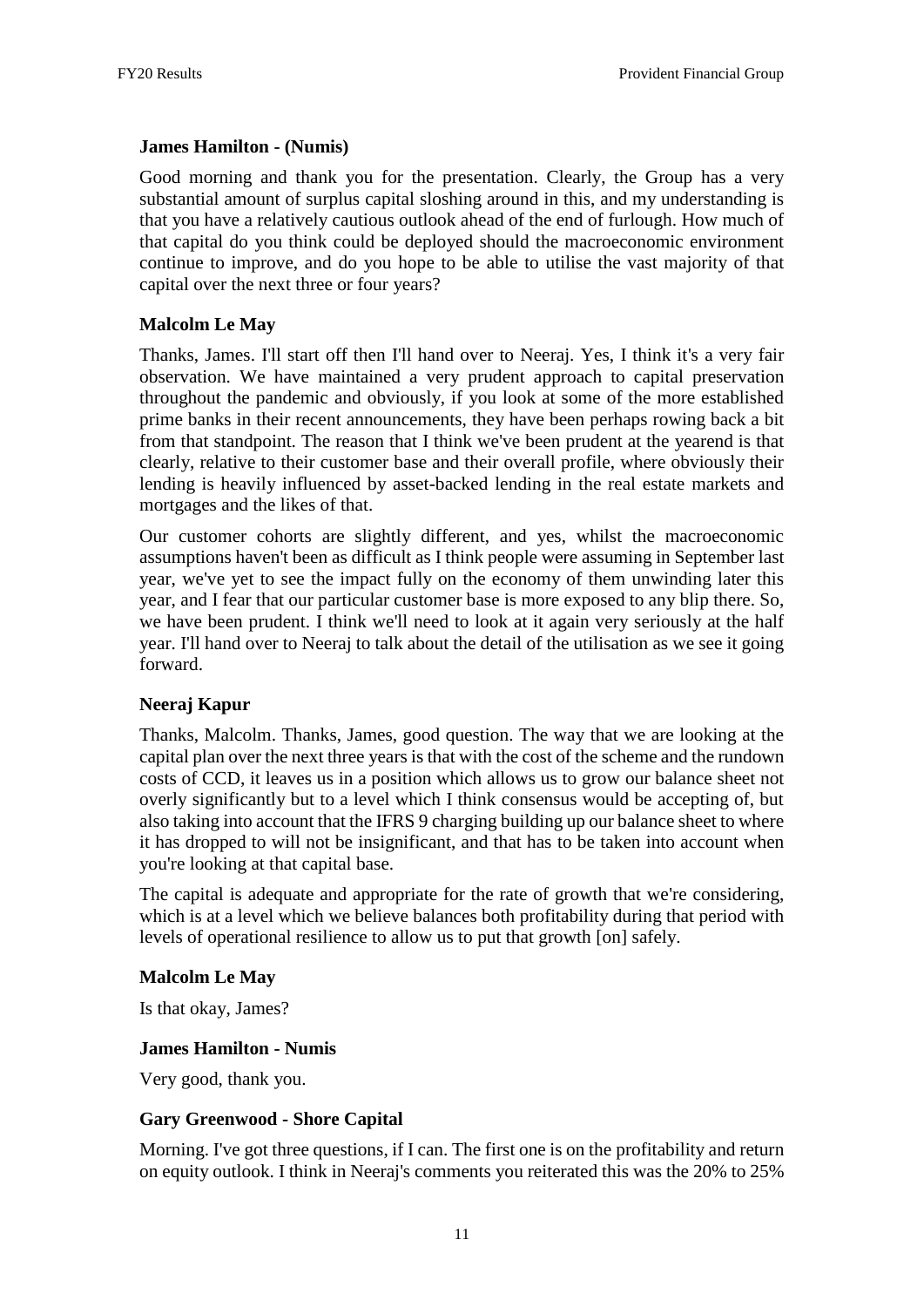#### **James Hamilton - (Numis)**

Good morning and thank you for the presentation. Clearly, the Group has a very substantial amount of surplus capital sloshing around in this, and my understanding is that you have a relatively cautious outlook ahead of the end of furlough. How much of that capital do you think could be deployed should the macroeconomic environment continue to improve, and do you hope to be able to utilise the vast majority of that capital over the next three or four years?

## **Malcolm Le May**

Thanks, James. I'll start off then I'll hand over to Neeraj. Yes, I think it's a very fair observation. We have maintained a very prudent approach to capital preservation throughout the pandemic and obviously, if you look at some of the more established prime banks in their recent announcements, they have been perhaps rowing back a bit from that standpoint. The reason that I think we've been prudent at the yearend is that clearly, relative to their customer base and their overall profile, where obviously their lending is heavily influenced by asset-backed lending in the real estate markets and mortgages and the likes of that.

Our customer cohorts are slightly different, and yes, whilst the macroeconomic assumptions haven't been as difficult as I think people were assuming in September last year, we've yet to see the impact fully on the economy of them unwinding later this year, and I fear that our particular customer base is more exposed to any blip there. So, we have been prudent. I think we'll need to look at it again very seriously at the half year. I'll hand over to Neeraj to talk about the detail of the utilisation as we see it going forward.

## **Neeraj Kapur**

Thanks, Malcolm. Thanks, James, good question. The way that we are looking at the capital plan over the next three years is that with the cost of the scheme and the rundown costs of CCD, it leaves us in a position which allows us to grow our balance sheet not overly significantly but to a level which I think consensus would be accepting of, but also taking into account that the IFRS 9 charging building up our balance sheet to where it has dropped to will not be insignificant, and that has to be taken into account when you're looking at that capital base.

The capital is adequate and appropriate for the rate of growth that we're considering, which is at a level which we believe balances both profitability during that period with levels of operational resilience to allow us to put that growth [on] safely.

#### **Malcolm Le May**

Is that okay, James?

#### **James Hamilton - Numis**

Very good, thank you.

#### **Gary Greenwood - Shore Capital**

Morning. I've got three questions, if I can. The first one is on the profitability and return on equity outlook. I think in Neeraj's comments you reiterated this was the 20% to 25%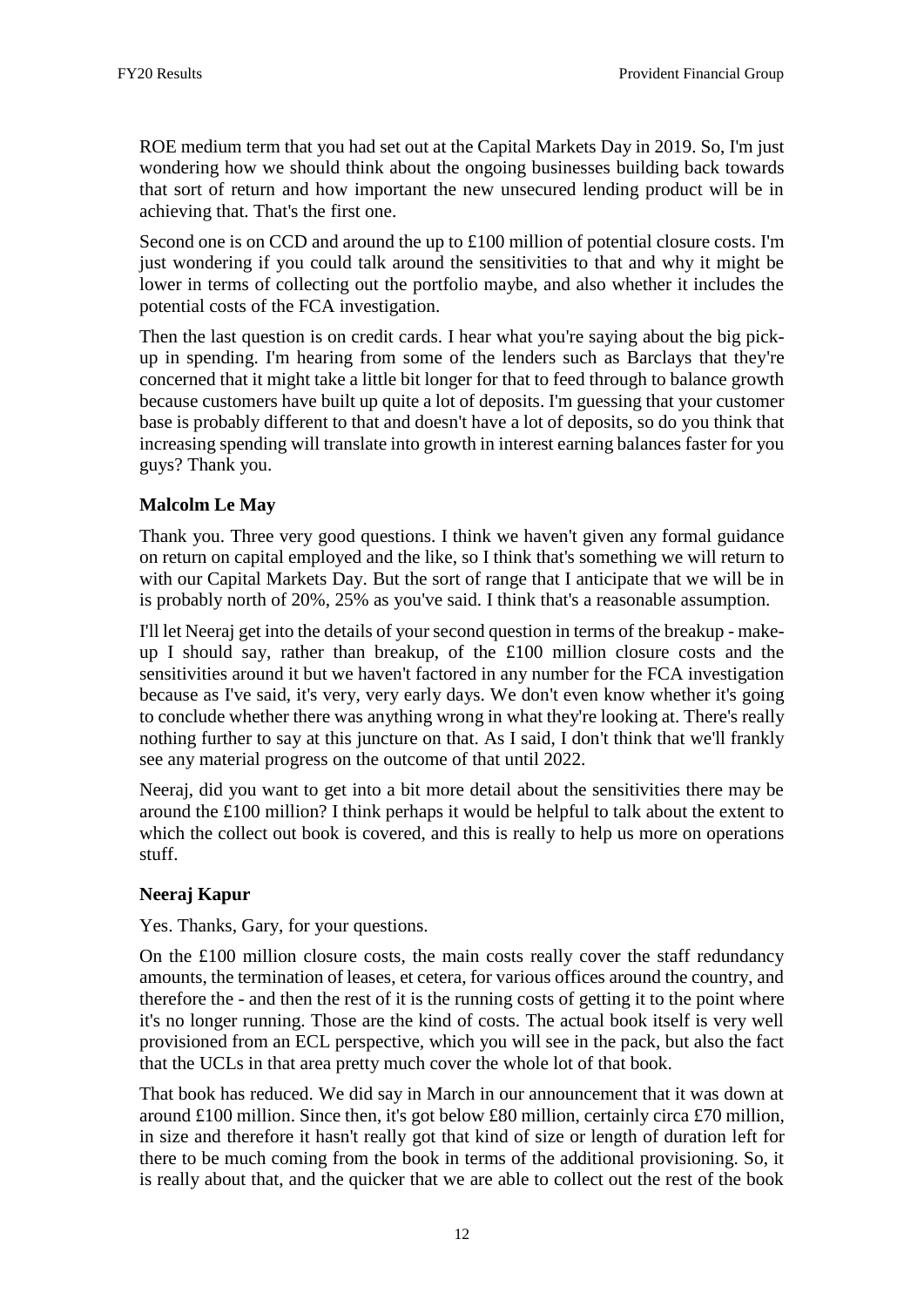ROE medium term that you had set out at the Capital Markets Day in 2019. So, I'm just wondering how we should think about the ongoing businesses building back towards that sort of return and how important the new unsecured lending product will be in achieving that. That's the first one.

Second one is on CCD and around the up to £100 million of potential closure costs. I'm just wondering if you could talk around the sensitivities to that and why it might be lower in terms of collecting out the portfolio maybe, and also whether it includes the potential costs of the FCA investigation.

Then the last question is on credit cards. I hear what you're saying about the big pickup in spending. I'm hearing from some of the lenders such as Barclays that they're concerned that it might take a little bit longer for that to feed through to balance growth because customers have built up quite a lot of deposits. I'm guessing that your customer base is probably different to that and doesn't have a lot of deposits, so do you think that increasing spending will translate into growth in interest earning balances faster for you guys? Thank you.

## **Malcolm Le May**

Thank you. Three very good questions. I think we haven't given any formal guidance on return on capital employed and the like, so I think that's something we will return to with our Capital Markets Day. But the sort of range that I anticipate that we will be in is probably north of 20%, 25% as you've said. I think that's a reasonable assumption.

I'll let Neeraj get into the details of your second question in terms of the breakup - makeup I should say, rather than breakup, of the £100 million closure costs and the sensitivities around it but we haven't factored in any number for the FCA investigation because as I've said, it's very, very early days. We don't even know whether it's going to conclude whether there was anything wrong in what they're looking at. There's really nothing further to say at this juncture on that. As I said, I don't think that we'll frankly see any material progress on the outcome of that until 2022.

Neeraj, did you want to get into a bit more detail about the sensitivities there may be around the £100 million? I think perhaps it would be helpful to talk about the extent to which the collect out book is covered, and this is really to help us more on operations stuff.

#### **Neeraj Kapur**

Yes. Thanks, Gary, for your questions.

On the £100 million closure costs, the main costs really cover the staff redundancy amounts, the termination of leases, et cetera, for various offices around the country, and therefore the - and then the rest of it is the running costs of getting it to the point where it's no longer running. Those are the kind of costs. The actual book itself is very well provisioned from an ECL perspective, which you will see in the pack, but also the fact that the UCLs in that area pretty much cover the whole lot of that book.

That book has reduced. We did say in March in our announcement that it was down at around £100 million. Since then, it's got below £80 million, certainly circa £70 million, in size and therefore it hasn't really got that kind of size or length of duration left for there to be much coming from the book in terms of the additional provisioning. So, it is really about that, and the quicker that we are able to collect out the rest of the book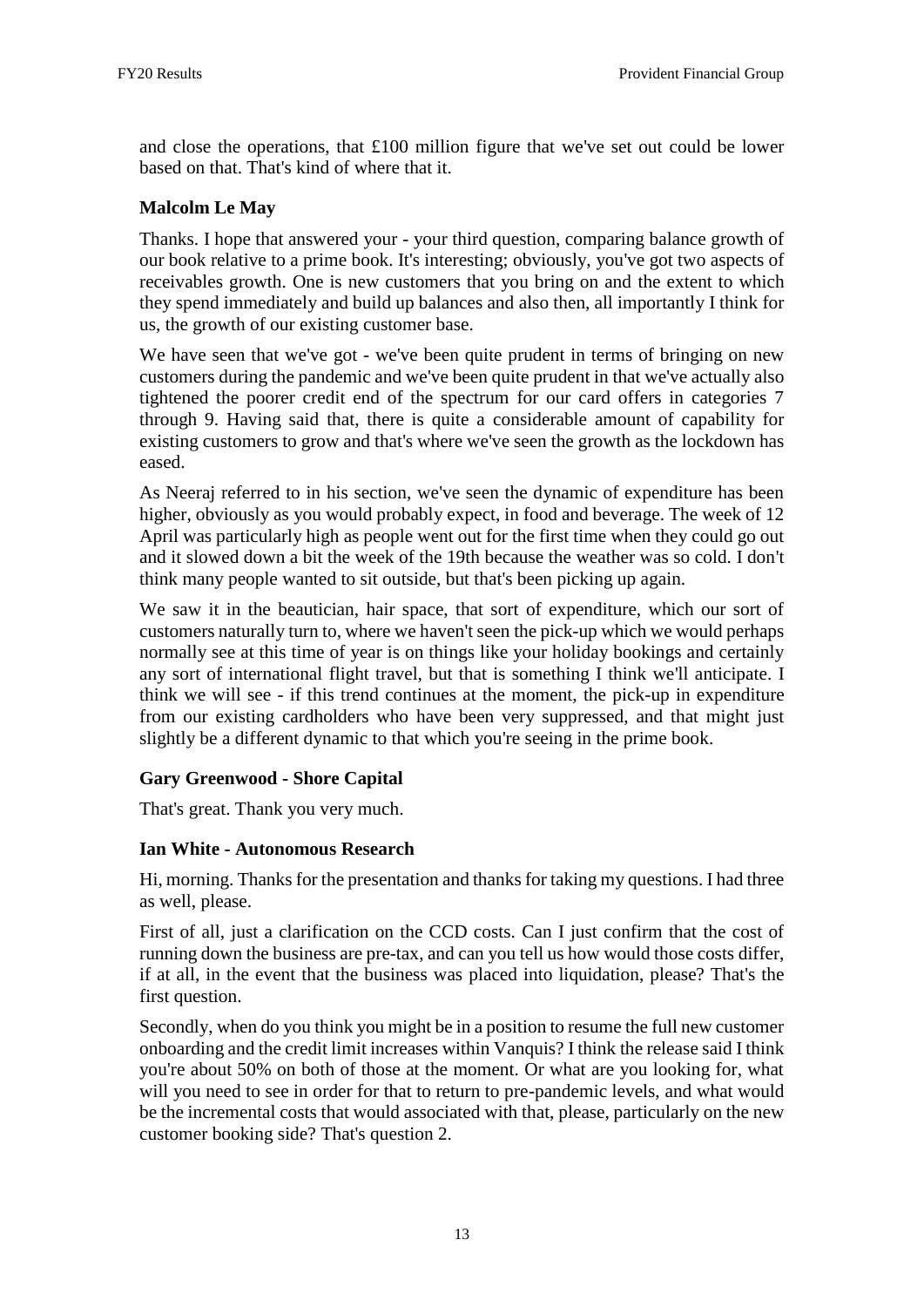and close the operations, that  $\pounds 100$  million figure that we've set out could be lower based on that. That's kind of where that it.

## **Malcolm Le May**

Thanks. I hope that answered your - your third question, comparing balance growth of our book relative to a prime book. It's interesting; obviously, you've got two aspects of receivables growth. One is new customers that you bring on and the extent to which they spend immediately and build up balances and also then, all importantly I think for us, the growth of our existing customer base.

We have seen that we've got - we've been quite prudent in terms of bringing on new customers during the pandemic and we've been quite prudent in that we've actually also tightened the poorer credit end of the spectrum for our card offers in categories 7 through 9. Having said that, there is quite a considerable amount of capability for existing customers to grow and that's where we've seen the growth as the lockdown has eased.

As Neeraj referred to in his section, we've seen the dynamic of expenditure has been higher, obviously as you would probably expect, in food and beverage. The week of 12 April was particularly high as people went out for the first time when they could go out and it slowed down a bit the week of the 19th because the weather was so cold. I don't think many people wanted to sit outside, but that's been picking up again.

We saw it in the beautician, hair space, that sort of expenditure, which our sort of customers naturally turn to, where we haven't seen the pick-up which we would perhaps normally see at this time of year is on things like your holiday bookings and certainly any sort of international flight travel, but that is something I think we'll anticipate. I think we will see - if this trend continues at the moment, the pick-up in expenditure from our existing cardholders who have been very suppressed, and that might just slightly be a different dynamic to that which you're seeing in the prime book.

#### **Gary Greenwood - Shore Capital**

That's great. Thank you very much.

#### **Ian White - Autonomous Research**

Hi, morning. Thanks for the presentation and thanks for taking my questions. I had three as well, please.

First of all, just a clarification on the CCD costs. Can I just confirm that the cost of running down the business are pre-tax, and can you tell us how would those costs differ, if at all, in the event that the business was placed into liquidation, please? That's the first question.

Secondly, when do you think you might be in a position to resume the full new customer onboarding and the credit limit increases within Vanquis? I think the release said I think you're about 50% on both of those at the moment. Or what are you looking for, what will you need to see in order for that to return to pre-pandemic levels, and what would be the incremental costs that would associated with that, please, particularly on the new customer booking side? That's question 2.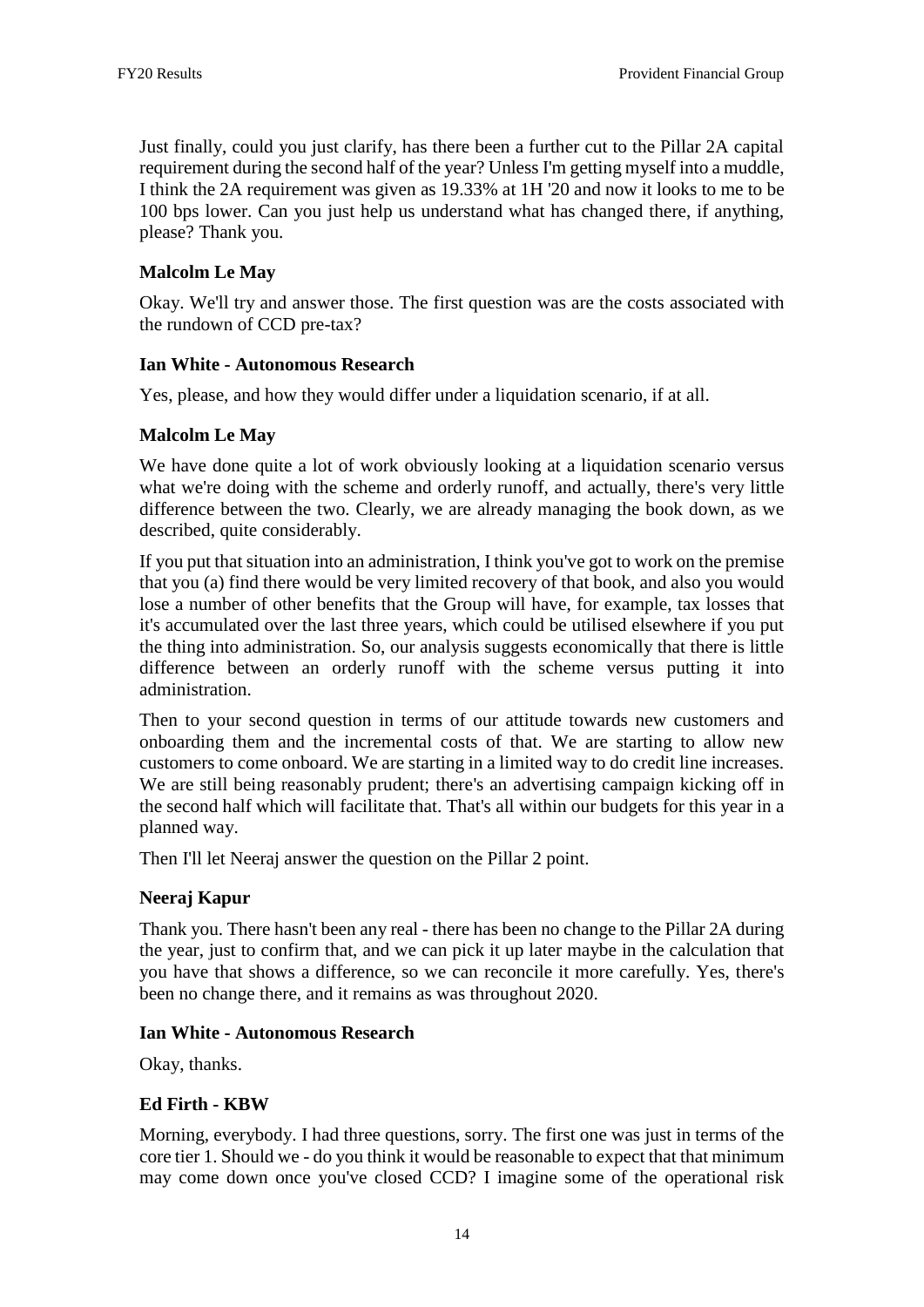Just finally, could you just clarify, has there been a further cut to the Pillar 2A capital requirement during the second half of the year? Unless I'm getting myself into a muddle, I think the 2A requirement was given as 19.33% at 1H '20 and now it looks to me to be 100 bps lower. Can you just help us understand what has changed there, if anything, please? Thank you.

## **Malcolm Le May**

Okay. We'll try and answer those. The first question was are the costs associated with the rundown of CCD pre-tax?

#### **Ian White - Autonomous Research**

Yes, please, and how they would differ under a liquidation scenario, if at all.

#### **Malcolm Le May**

We have done quite a lot of work obviously looking at a liquidation scenario versus what we're doing with the scheme and orderly runoff, and actually, there's very little difference between the two. Clearly, we are already managing the book down, as we described, quite considerably.

If you put that situation into an administration, I think you've got to work on the premise that you (a) find there would be very limited recovery of that book, and also you would lose a number of other benefits that the Group will have, for example, tax losses that it's accumulated over the last three years, which could be utilised elsewhere if you put the thing into administration. So, our analysis suggests economically that there is little difference between an orderly runoff with the scheme versus putting it into administration.

Then to your second question in terms of our attitude towards new customers and onboarding them and the incremental costs of that. We are starting to allow new customers to come onboard. We are starting in a limited way to do credit line increases. We are still being reasonably prudent; there's an advertising campaign kicking off in the second half which will facilitate that. That's all within our budgets for this year in a planned way.

Then I'll let Neeraj answer the question on the Pillar 2 point.

#### **Neeraj Kapur**

Thank you. There hasn't been any real - there has been no change to the Pillar 2A during the year, just to confirm that, and we can pick it up later maybe in the calculation that you have that shows a difference, so we can reconcile it more carefully. Yes, there's been no change there, and it remains as was throughout 2020.

#### **Ian White - Autonomous Research**

Okay, thanks.

#### **Ed Firth - KBW**

Morning, everybody. I had three questions, sorry. The first one was just in terms of the core tier 1. Should we - do you think it would be reasonable to expect that that minimum may come down once you've closed CCD? I imagine some of the operational risk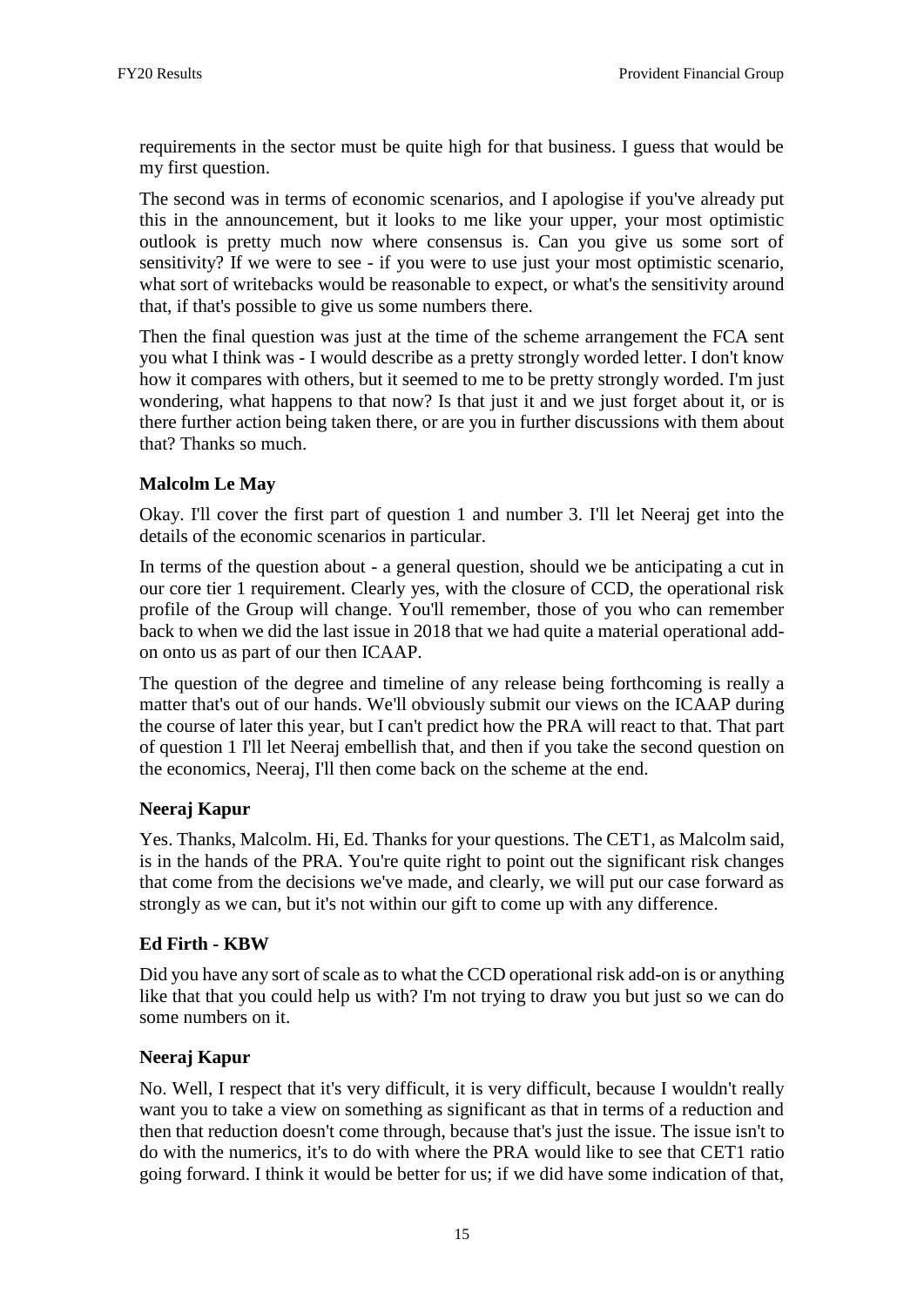requirements in the sector must be quite high for that business. I guess that would be my first question.

The second was in terms of economic scenarios, and I apologise if you've already put this in the announcement, but it looks to me like your upper, your most optimistic outlook is pretty much now where consensus is. Can you give us some sort of sensitivity? If we were to see - if you were to use just your most optimistic scenario, what sort of writebacks would be reasonable to expect, or what's the sensitivity around that, if that's possible to give us some numbers there.

Then the final question was just at the time of the scheme arrangement the FCA sent you what I think was - I would describe as a pretty strongly worded letter. I don't know how it compares with others, but it seemed to me to be pretty strongly worded. I'm just wondering, what happens to that now? Is that just it and we just forget about it, or is there further action being taken there, or are you in further discussions with them about that? Thanks so much.

## **Malcolm Le May**

Okay. I'll cover the first part of question 1 and number 3. I'll let Neeraj get into the details of the economic scenarios in particular.

In terms of the question about - a general question, should we be anticipating a cut in our core tier 1 requirement. Clearly yes, with the closure of CCD, the operational risk profile of the Group will change. You'll remember, those of you who can remember back to when we did the last issue in 2018 that we had quite a material operational addon onto us as part of our then ICAAP.

The question of the degree and timeline of any release being forthcoming is really a matter that's out of our hands. We'll obviously submit our views on the ICAAP during the course of later this year, but I can't predict how the PRA will react to that. That part of question 1 I'll let Neeraj embellish that, and then if you take the second question on the economics, Neeraj, I'll then come back on the scheme at the end.

#### **Neeraj Kapur**

Yes. Thanks, Malcolm. Hi, Ed. Thanks for your questions. The CET1, as Malcolm said, is in the hands of the PRA. You're quite right to point out the significant risk changes that come from the decisions we've made, and clearly, we will put our case forward as strongly as we can, but it's not within our gift to come up with any difference.

#### **Ed Firth - KBW**

Did you have any sort of scale as to what the CCD operational risk add-on is or anything like that that you could help us with? I'm not trying to draw you but just so we can do some numbers on it.

#### **Neeraj Kapur**

No. Well, I respect that it's very difficult, it is very difficult, because I wouldn't really want you to take a view on something as significant as that in terms of a reduction and then that reduction doesn't come through, because that's just the issue. The issue isn't to do with the numerics, it's to do with where the PRA would like to see that CET1 ratio going forward. I think it would be better for us; if we did have some indication of that,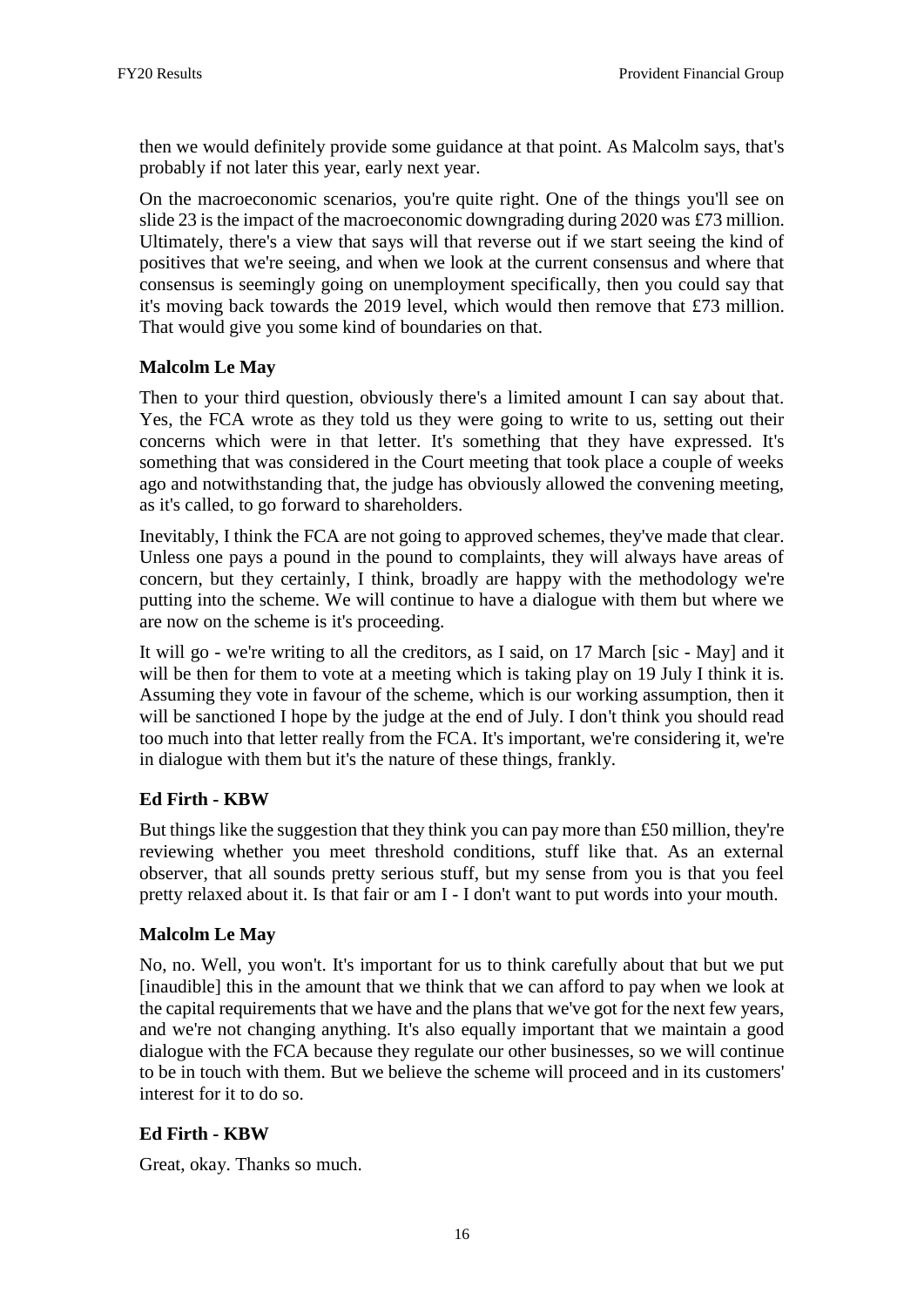then we would definitely provide some guidance at that point. As Malcolm says, that's probably if not later this year, early next year.

On the macroeconomic scenarios, you're quite right. One of the things you'll see on slide 23 is the impact of the macroeconomic downgrading during 2020 was £73 million. Ultimately, there's a view that says will that reverse out if we start seeing the kind of positives that we're seeing, and when we look at the current consensus and where that consensus is seemingly going on unemployment specifically, then you could say that it's moving back towards the 2019 level, which would then remove that £73 million. That would give you some kind of boundaries on that.

## **Malcolm Le May**

Then to your third question, obviously there's a limited amount I can say about that. Yes, the FCA wrote as they told us they were going to write to us, setting out their concerns which were in that letter. It's something that they have expressed. It's something that was considered in the Court meeting that took place a couple of weeks ago and notwithstanding that, the judge has obviously allowed the convening meeting, as it's called, to go forward to shareholders.

Inevitably, I think the FCA are not going to approved schemes, they've made that clear. Unless one pays a pound in the pound to complaints, they will always have areas of concern, but they certainly, I think, broadly are happy with the methodology we're putting into the scheme. We will continue to have a dialogue with them but where we are now on the scheme is it's proceeding.

It will go - we're writing to all the creditors, as I said, on 17 March [sic - May] and it will be then for them to vote at a meeting which is taking play on 19 July I think it is. Assuming they vote in favour of the scheme, which is our working assumption, then it will be sanctioned I hope by the judge at the end of July. I don't think you should read too much into that letter really from the FCA. It's important, we're considering it, we're in dialogue with them but it's the nature of these things, frankly.

#### **Ed Firth - KBW**

But things like the suggestion that they think you can pay more than £50 million, they're reviewing whether you meet threshold conditions, stuff like that. As an external observer, that all sounds pretty serious stuff, but my sense from you is that you feel pretty relaxed about it. Is that fair or am I - I don't want to put words into your mouth.

#### **Malcolm Le May**

No, no. Well, you won't. It's important for us to think carefully about that but we put [inaudible] this in the amount that we think that we can afford to pay when we look at the capital requirements that we have and the plans that we've got for the next few years, and we're not changing anything. It's also equally important that we maintain a good dialogue with the FCA because they regulate our other businesses, so we will continue to be in touch with them. But we believe the scheme will proceed and in its customers' interest for it to do so.

#### **Ed Firth - KBW**

Great, okay. Thanks so much.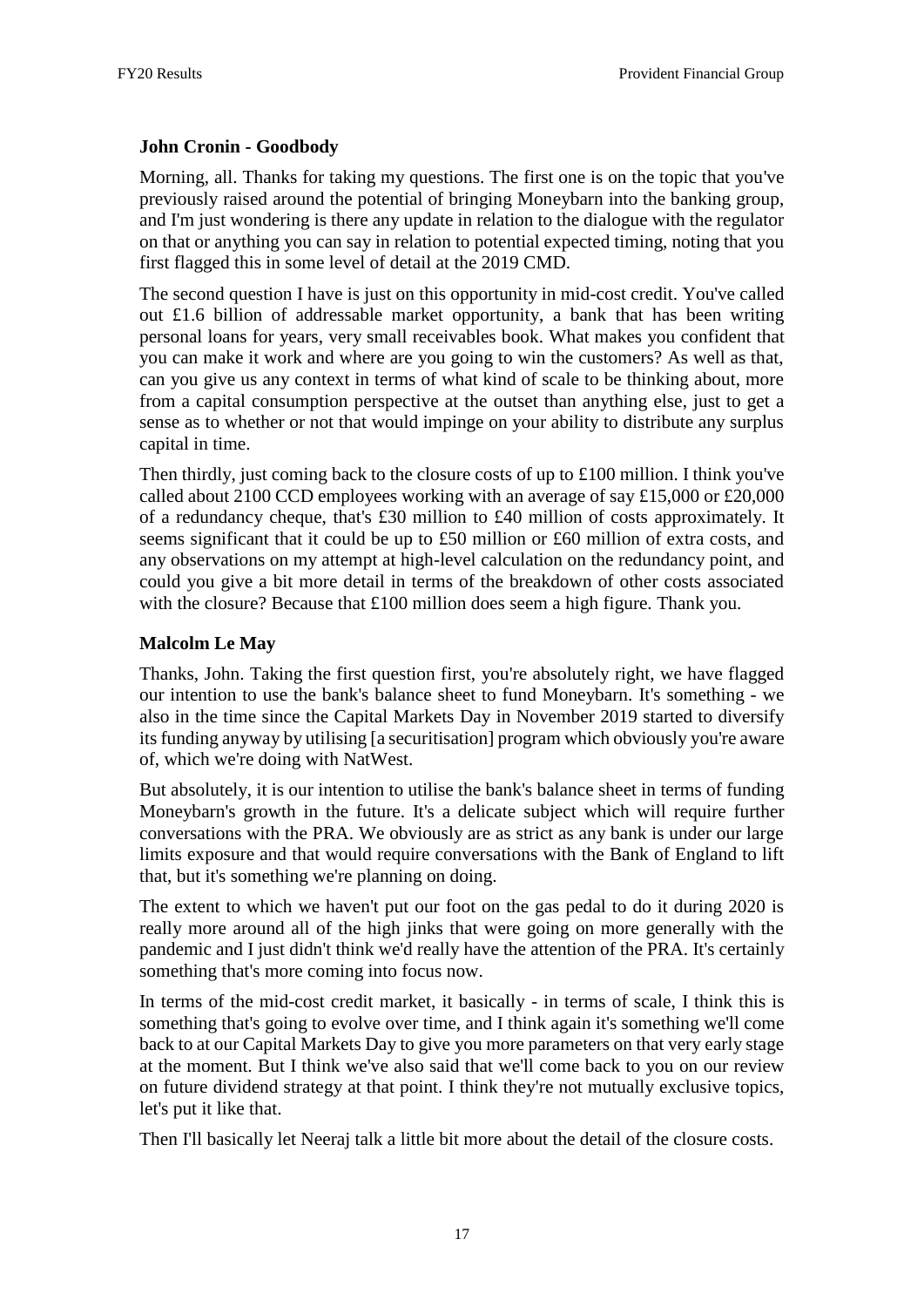### **John Cronin - Goodbody**

Morning, all. Thanks for taking my questions. The first one is on the topic that you've previously raised around the potential of bringing Moneybarn into the banking group, and I'm just wondering is there any update in relation to the dialogue with the regulator on that or anything you can say in relation to potential expected timing, noting that you first flagged this in some level of detail at the 2019 CMD.

The second question I have is just on this opportunity in mid-cost credit. You've called out £1.6 billion of addressable market opportunity, a bank that has been writing personal loans for years, very small receivables book. What makes you confident that you can make it work and where are you going to win the customers? As well as that, can you give us any context in terms of what kind of scale to be thinking about, more from a capital consumption perspective at the outset than anything else, just to get a sense as to whether or not that would impinge on your ability to distribute any surplus capital in time.

Then thirdly, just coming back to the closure costs of up to £100 million. I think you've called about 2100 CCD employees working with an average of say £15,000 or £20,000 of a redundancy cheque, that's £30 million to £40 million of costs approximately. It seems significant that it could be up to £50 million or £60 million of extra costs, and any observations on my attempt at high-level calculation on the redundancy point, and could you give a bit more detail in terms of the breakdown of other costs associated with the closure? Because that £100 million does seem a high figure. Thank you.

## **Malcolm Le May**

Thanks, John. Taking the first question first, you're absolutely right, we have flagged our intention to use the bank's balance sheet to fund Moneybarn. It's something - we also in the time since the Capital Markets Day in November 2019 started to diversify its funding anyway by utilising [a securitisation] program which obviously you're aware of, which we're doing with NatWest.

But absolutely, it is our intention to utilise the bank's balance sheet in terms of funding Moneybarn's growth in the future. It's a delicate subject which will require further conversations with the PRA. We obviously are as strict as any bank is under our large limits exposure and that would require conversations with the Bank of England to lift that, but it's something we're planning on doing.

The extent to which we haven't put our foot on the gas pedal to do it during 2020 is really more around all of the high jinks that were going on more generally with the pandemic and I just didn't think we'd really have the attention of the PRA. It's certainly something that's more coming into focus now.

In terms of the mid-cost credit market, it basically - in terms of scale, I think this is something that's going to evolve over time, and I think again it's something we'll come back to at our Capital Markets Day to give you more parameters on that very early stage at the moment. But I think we've also said that we'll come back to you on our review on future dividend strategy at that point. I think they're not mutually exclusive topics, let's put it like that.

Then I'll basically let Neeraj talk a little bit more about the detail of the closure costs.